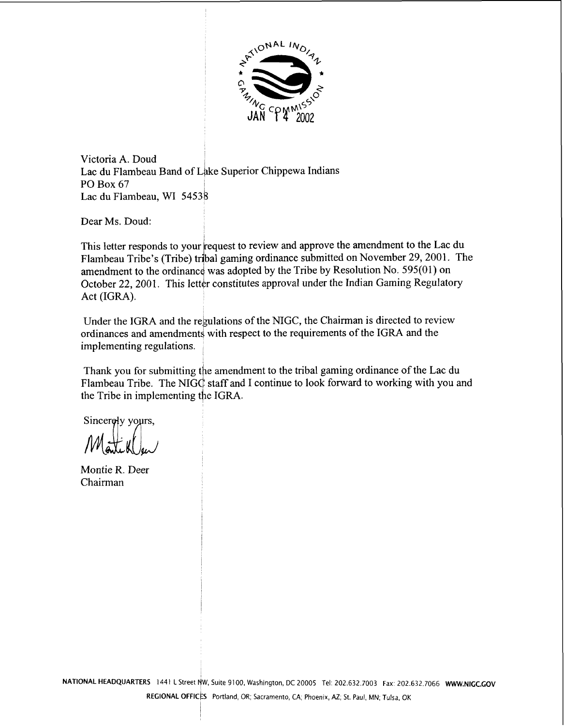

Victoria **A.** Doud Lac du Flambeau Band of Lake Superior Chippewa Indians PO Box 67 Lac du Flambeau, WI 54538

Dear Ms. Doud:

This letter responds to your request to review and approve the amendment to the Lac du Flambeau Tribe's (Tribe) tribal gaming ordinance submitted on November 29,2001. The amendment to the ordinance was adopted by the Tribe by Resolution No.  $595(01)$  on October 22, 2001. This letter constitutes approval under the Indian Gaming Regulatory Act (IGRA).

Under the IGRA and the regulations of the NIGC, the Chairman is directed to review ordinances and amendments with respect to the requirements of the IGRA and the implementing regulations.

Thank you for submitting the amendment to the tribal gaming ordinance of the Lac du Flambeau Tribe. The NIGC staff and I continue to look forward to working with you and the Tribe in implementing the IGRA.

Sincerely yours,

Montie R. Deer Chairman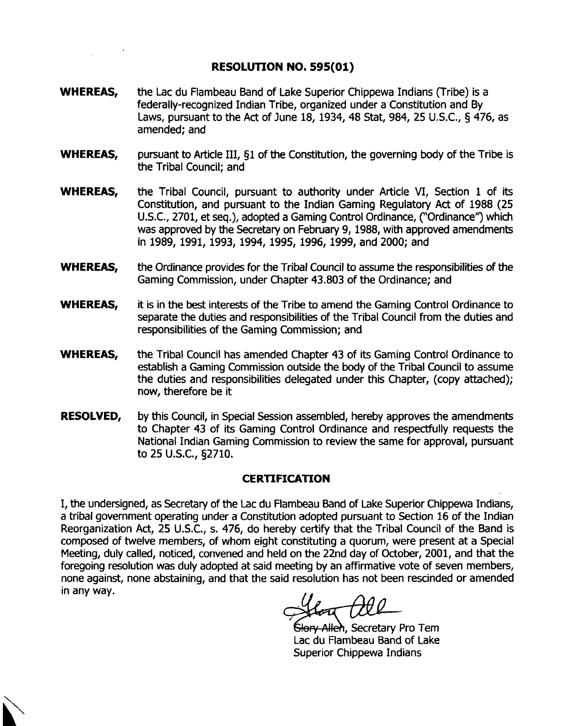### **RESOLUTION NO, 595(01)**

- **WHEREAS,** the Lac du Flambeau Band of Lake Superior Chippewa Indians (Tribe) is a federally-recognized Indian Tribe, organized under a Constitution and By Laws, pursuant to the Act of June 18, 1934, 48 Stat, 984, 25 U.S.C., § 476, as amended; and
- **WHEREAS,** pursuant to Article 111, 51 of the Constitution, the governing body of the Tribe is the Tribal Council; and
- **WHEREAS,** the Tribal Council, pursuant to authority under Article VI, Section 1 of its Constitution, and pursuant to the Indian Gaming Regulatory Act of 1988 (25 U.S.C., 2701, et seq.), adopted a Gaming Control Ordinance, ("Ordinance") which was approved by the Secretary on February 9, 1988, with approved amendments in 1989, 1991, 1993, 1994, 1995, 1996, 1999, and 2000; and
- **WHEREAS,** the Ordinance provides for the Tribal Council to assume the responsibilities of the Gaming Commission, under Chapter 43.803 of the Ordinance; and
- **WHEREAS,** it is in the best interests of the Tribe to amend the Gaming Control Ordinance to separate the duties and responsibilities of the Tribal Council from the duties and responsibilities of the Gaming Commission; and
- **WHEREAS,** the Tribal Council has amended Chapter 43 of its Gaming Control Ordinance to establish a Gaming Commission outside the body of the Tribal Council to assume the duties and responsibilities delegated under this Chapter, (copy attached); now, therefore be it
- **RESOLVED,** by this Council, in Special Session assembled, hereby approves the amendments to Chapter 43 of its Gaming Control Ordinance and respectfully requests the National Indian Gaming Commission to review the same for approval, pursuant to 25 U.S.C., §2710.

### **CERTIFICATION**

I, the undersigned, as Secretary of the Lac du Flambeau Band of Lake Superior Chippewa Indians, a tribal government operating under a Constitution adopted pursuant to Section 16 of the Indian Reorganization Act, 25 U.S.C., s. 476, do hereby certify that the Tribal Council of the Band is composed of twelve members, of whom eight constituting a quorum, were present at a Special Meeting, duly called, noticed, convened and held on the 22nd day of October, 2001, and that the foregoing resolution was duly adopted at said meeting by an affirmative vote of seven members, none against, none abstaining, and that the said resolution has not been rescinded or amended in any way.

Sl<del>ory Allen</del>, Secretary Pro Tem Lac du Flambeau Band of Lake Superior Chippewa Indians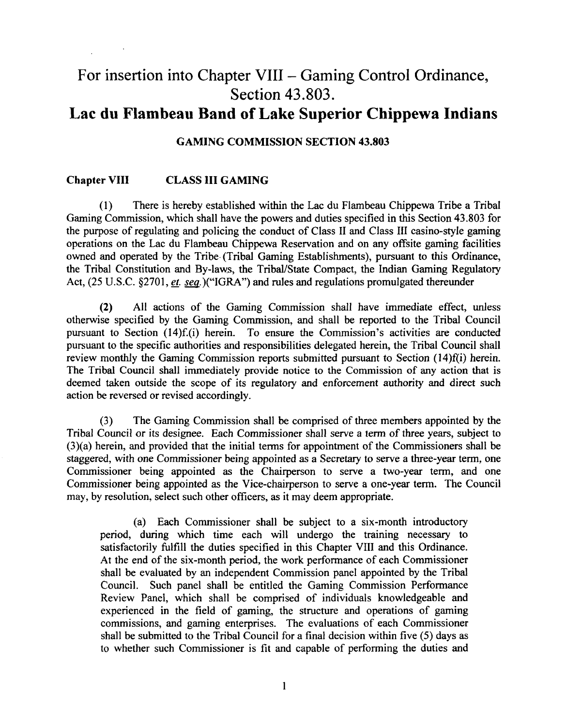# For insertion into Chapter VIII - Gaming Control Ordinance, Section 43.803.

## **Lac du Flambeau Band of Lake Superior Chippewa Indians**

### **GAMING COMMISSION SECTION 43.803**

#### **Chapter VIII CLASS III GAMING**

(1) There is hereby established within the Lac du Flambeau Chippewa Tribe a Tribal Gaming Commission, which shall have the powers and duties specified in this Section 43.803 for the purpose of regulating and policing the conduct of Class I1 and Class 111 casino-style gaming operations on the Lac du Flambeau Chippewa Reservation and on any offsite gaming facilities owned and operated by the Tribe, (Tribal Gaming Establishments), pursuant to this Ordinance, the Tribal Constitution and By-laws, the TribaVState Compact, the Indian Gaming Regulatory Act, (25 U.S.C. §2701, et. seq.)("IGRA") and rules and regulations promulgated thereunder

**(2)** All actions of the Gaming Commission shall have immediate effect, unless otherwise specified by the Gaming Commission, and shall be reported to the Tribal Council pursuant to Section (14)f.(i) herein. To ensure the Commission's activities **are** conducted pursuant to the specific authorities and responsibilities delegated herein, the Tribal Council shall review monthly the Gaming Commission reports submitted pursuant to Section (14)f(i) herein. The Tribal Council shall immediately provide notice to the Commission of any action that is deemed taken outside the scope of its regulatory and enforcement authority and direct such action be reversed or revised accordingly.

**(3)** The Gaming Commission shall be comprised of three members appointed by the Tribal Council or its designee. Each Commissioner shall serve a term of three years, subject to (3)(a) herein, and provided that the initial terms for appointment of the Commissioners shall be staggered, with one Commissioner being appointed as a Secretary to serve a three-year term, one Commissioner being appointed as the Chairperson to serve a two-year term, and one commissioner being appointed as the Vice-chairperson to serve a one-year term. The Council may, by resolution, select such other officers, as it may deem appropriate.

(a) Each Commissioner shall be subject to a six-month introductory period, during which time each will undergo the training necessary to satisfactorily fulfill the duties specified in this Chapter VIII and this Ordinance. At the end of the six-month period, the work performance of each Commissioner shall be evaluated by an independent Commission panel appointed by the Tribal Council. Such panel shall be entitled the Gaming Commission Performance Review Panel, which shall be comprised of individuals knowledgeable and experienced in the field of gaming, the structure and operations of gaming commissions, and gaming enterprises. The evaluations of each Commissioner shall be submitted to the Tribal Council for a final decision within five (5) days as to whether such Commissioner is fit and capable of performing the duties and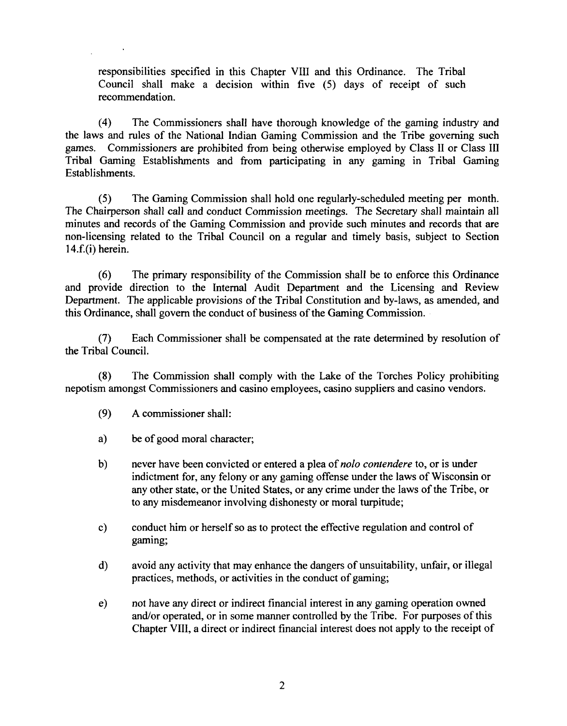responsibilities specified in this Chapter VIII and this Ordinance. The Tribal Council shall make a decision within five (5) days of receipt of such recommendation.

(4) The Commissioners shall have thorough knowledge of the gaming industry and the laws and rules of the National Indian Gaming Commission and the Tribe governing such games. Commissioners are prohibited from being otherwise employed by Class I1 or Class I11 Tribal Gaming Establishments and fiom participating in any gaming in Tribal Gaming Establishments.

**(5)** The Gaming Commission shall hold one regularly-scheduled meeting per month. The Chairperson shall call and conduct Commission meetings. The Secretary shall maintain all minutes and records of the Gaming Commission and provide such minutes and records that are non-licensing related to the Tribal Council on a regular and timely basis, subject to Section 14.f.(i) herein.

*(6)* The primary responsibility of the Commission shall be to enforce this Ordinance and provide direction to the Internal Audit Department and the Licensing and Review Department. The applicable provisions of the Tribal Constitution and by-laws, as amended, and this Ordinance, shall govern the conduct of business of the Gaming Commission.

(7) Each Commissioner shall be compensated at the rate determined by resolution of the Tribal Council.

**(8)** The Commission shall comply with the Lake of the Torches Policy prohibiting nepotism amongst Commissioners and casino employees, casino suppliers and casino vendors.

- (9) A commissioner shall:
- a) be of good moral character;
- b) never have been convicted or entered a plea of *nolo contendere* to, or is under indictment for, any felony or any gaming offense under the laws of Wisconsin or any other state, or the United States, or any crime under the laws of the Tribe, or to any misdemeanor involving dishonesty or moral turpitude;
- c) conduct him or herself so **as** to protect the effective regulation and control of gaming;
- d) avoid any activity that may enhance the dangers of unsuitability, unfair, or illegal practices, methods, or activities in the conduct of gaming;
- e) not have any direct or indirect financial interest in any gaming operation owned and/or operated, or in some manner controlled by the Tribe. For purposes of this Chapter VIII, a direct or indirect financial interest does not apply to the receipt of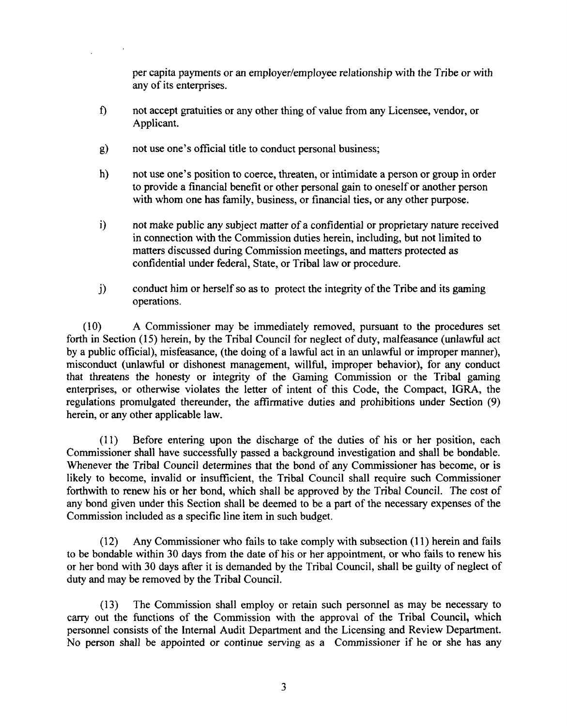per capita payments or an employer/employee relationship with the Tribe or with any of its enterprises.

- **f)** not accept gratuities or any other thing of value fiom any Licensee, vendor, or Applicant.
- g) not use one's official title to conduct personal business;
- h) not use one's position to coerce, threaten, or intimidate a person or group in order to provide a financial benefit or other personal gain to oneself or another person with whom one has family, business, or financial ties, or any other purpose.
- i) not make public any subject matter of a confidential or proprietary nature received in connection with the Commission duties herein, including, but not limited to matters discussed during Commission meetings, and matters protected as confidential under federal, State, or Tribal law or procedure.
- $j$  conduct him or herself so as to protect the integrity of the Tribe and its gaming operations.

(10) A Commissioner may be immediately removed, pursuant to the procedures set forth in Section (15) herein, by the Tribal Council for neglect of duty, malfeasance (unlawful act by a public official), misfeasance, (the doing of a lawful act in an unlawful or improper manner), misconduct (unlawful or dishonest management, willful, improper behavior), for any conduct that threatens the honesty or integrity of the Gaming Commission or the Tribal gaming enterprises, or otherwise violates the letter of intent of this Code, the Compact, IGRA, the regulations promulgated thereunder, the affirmative duties and prohibitions under Section (9) herein, or any other applicable law.

(1 1) Before entering upon the discharge of the duties of his or her position, each Commissioner shall have successfully passed a background investigation and shall be bondable. Whenever the Tribal Council determines that the bond of any Commissioner has become, or is likely to become, invalid or insufficient, the Tribal Council shall require such Commissioner forthwith to renew his or her bond, which shall be approved by the Tribal Council. The cost of any bond given under this Section shall be deemed to be a part of the necessary expenses of the Commission included as a specific line item in such budget.

(12) Any Commissioner who fails to take comply with subsection (1 1) herein and fails to be bondable within 30 days from the date of his or her appointment, or who fails to renew his or her bond with 30 days after it is demanded by the Tribal Council, shall be guilty of neglect of duty and may be removed by the Tribal Council.

(13) The Commission shall employ or retain such personnel as may be necessary to carry out the functions of the Commission with the approval of the Tribal Council, which personnel consists of the Internal Audit Department and the Licensing and Review Department. No person shall be appointed or continue serving as a Commissioner if he or she has any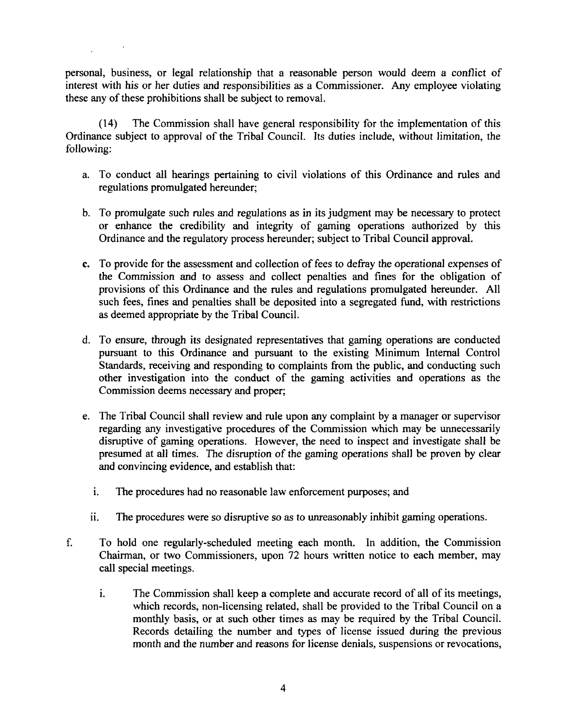personal, business, or legal relationship that a reasonable person would deem a conflict of interest with his or her duties and responsibilities as a Commissioner. Any employee violating these any of these prohibitions shall be subject to removal.

**(14)** The Commission shall have general responsibility for the implementation of this Ordinance subject to approval of the Tribal Council. Its duties include, without limitation, the following:

- a. To conduct all hearings pertaining to civil violations of this Ordinance and rules and regulations promulgated hereunder;
- b. To promulgate such rules and regulations as in its judgment may be necessary to protect or enhance the credibility and integrity of gaming operations authorized by this Ordinance and the regulatory process hereunder; subject to Tribal Council approval.
- c. To provide for the assessment and collection of fees to defiay the operational expenses of the Commission and to assess and collect penalties and fines for the obligation of provisions of this Ordinance and the rules and regulations promulgated hereunder. All such fees, fines and penalties shall be deposited into a segregated fund, with restrictions as deemed appropriate by the Tribal Council.
- d. To ensure, through its designated representatives that gaming operations are conducted pursuant to this Ordinance and pursuant to the existing Minimum Internal Control Standards, receiving and responding to complaints from the public, and conducting such other investigation into the conduct of the gaming activities and operations **as** the Commission deems necessary and proper;
- e. The Tribal Council shall review and rule upon any complaint by a manager or supervisor regarding any investigative procedures of the Commission which may be unnecessarily disruptive of gaming operations. However, the need to inspect and investigate shall be presumed at all times. The disruption of the gaming operations shall be proven by clear and convincing evidence, and establish that:
	- i. The procedures had no reasonable law enforcement purposes; and
	- ii. The procedures were so disruptive so as to unreasonably inhibit gaming operations.
- f. To hold one regularly-scheduled meeting each month. In addition, the Commission Chairman, or two Commissioners, upon **72** hours written notice to each member, may call special meetings.
	- **1.** The Commission shall keep a complete and accurate record of all of its meetings, which records, non-licensing related, shall be provided to the Tribal Council on a monthly basis, or at such other times as may be required by the Tribal Council. Records detailing the number and types of license issued during the previous month and the number and reasons for license denials, suspensions or revocations,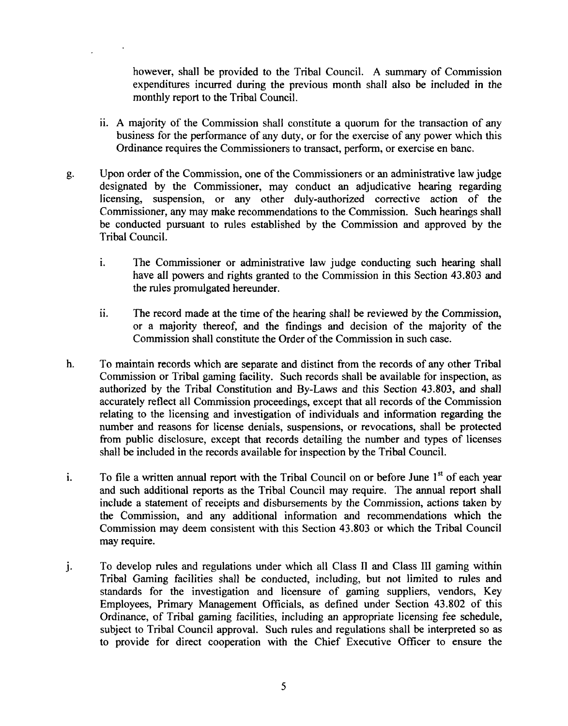however, shall be provided to the Tribal Council. A summary of Commission expenditures incurred during the previous month shall also be included in the monthly report to the Tribal Council.

- ii. A majority of the Commission shall constitute a quorum for the transaction of any business for the performance of any duty, or for the exercise of any power which this Ordinance requires the Commissioners to transact, perform, or exercise en banc.
- g. Upon order of the Commission, one of **the** Commissioners or an administrative law judge designated by the Commissioner, may conduct an adjudicative hearing regarding licensing, suspension, or any other duly-authorized corrective action of the Commissioner, any may make recommendations to the Commission. Such hearings shall be conducted pursuant to rules established by the Commission and approved by the Tribal Council.
	- **1.** The Commissioner or administrative law judge conducting such hearing shall have all powers and rights granted to the Commission in this Section 43.803 and the rules promulgated hereunder.
	- $\ddot{\mathbf{i}}$ . The record made at the time of the hearing shall be reviewed by the Commission, or a majority thereof, and the findings and decision of the majority of the Commission shall constitute the Order of the Commission in such case.
- h. To maintain records which are separate and distinct fiom the records of any other Tribal Commission or Tribal gaming facility. Such records shall be available for inspection, **as**  authorized by the Tribal Constitution and By-Laws and this Section 43.803, **and** shall accurately reflect all Commission proceedings, except that all records of the Commission relating to the licensing and investigation of individuals and information regarding the number and reasons for license denials, suspensions, or revocations, shall be protected fiom public disclosure, except that records detailing the number and types of licenses shall be included in the records available for inspection by the Tribal Council.
- **1.** To file a written annual report with the Tribal Council on or before June 1<sup>st</sup> of each year and such additional reports as the Tribal Council may require. The annual report shall include a statement of receipts and disbursements by the Commission, actions taken by the Commission, and any additional information and recommendations which the Commission may deem consistent with this Section 43.803 or which the Tribal Council may require.
- j. To develop rules and regulations under which all Class **I1** and Class **111** gaming within Tribal Gaming facilities shall be conducted, including, but not limited to rules and standards for the investigation and licensure of gaming suppliers, vendors, Key Employees, Primary Management Officials, as defined under Section 43.802 of this Ordinance, of Tribal gaming facilities, including an appropriate licensing fee schedule, subject to Tribal Council approval. Such rules and regulations shall be interpreted so as to provide for direct cooperation with the Chief Executive Officer to ensure the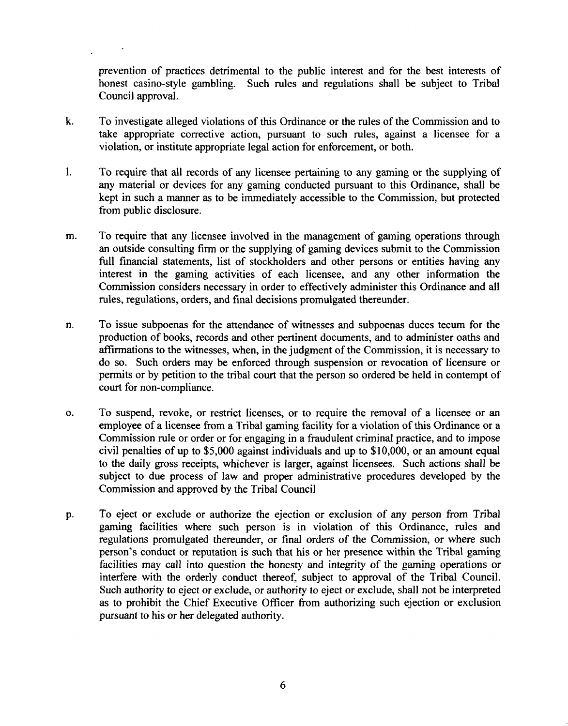prevention of practices detrimental to the public interest and for the best interests of honest casino-style gambling. Such rules and regulations shall be subject to Tribal Council approval.

- **k.** To investigate alleged violations of this Ordinance or the rules of the Commission and to take appropriate corrective action, pursuant to such rules, against a licensee for a violation, or institute appropriate legal action for enforcement, or both.
- 1. To require that all records of any licensee pertaining to any gaming or the supplying of any material or devices for any gaming conducted pursuant to this Ordinance, shall be kept in such a manner as to be immediately accessible to the Commission, but protected from public disclosure.
- m. To require that any licensee involved in the management of gaming operations through an outside consulting firm or the supplying of gaming devices submit to the Commission full financial statements, list of stockholders and other persons or entities having any interest in the gaming activities of each licensee, and any other information the Commission considers necessary in order to effectively administer this Ordinance and all rules, regulations, orders, and final decisions promulgated thereunder.
- n. To issue subpoenas for the attendance of witnesses and subpoenas duces tecum for the production of books, records and other pertinent documents, and to administer oaths and aflirmations to the witnesses, when, in the judgment of the Commission, it is necessary to do so. Such orders may be enforced through suspension or revocation of licensure or permits or by petition to the tribal court that the person so ordered be held in contempt of court for non-compliance.
- o. To suspend, revoke, or restrict licenses, or to require the removal of a licensee or an employee of a licensee from a Tribal gaming facility for a violation of this Ordinance or a Commission rule or order or for engaging in a fraudulent criminal practice, and to impose civil penalties of up to \$5,000 against individuals and up to \$10,000, or an amount equal to the daily gross receipts, whichever is larger, against licensees. Such actions shall be subject to due process of law and proper administrative procedures developed by the Commission and approved by the Tribal Council
- p. To eject or exclude or authorize the ejection or exclusion of any person from Tribal gaming facilities where such person is in violation of this Ordinance, rules and regulations promulgated thereunder, or final orders of the Commission, or where such person's conduct or reputation is such that his or her presence within the Tribal gaming facilities may call into question the honesty and integrity of the gaming operations or interfere with the orderly conduct thereof, subject to approval of the Tribal Council. Such authority to eject or exclude, or authority to eject or exclude, shall not be interpreted as to prohibit the Chief Executive Officer from authorizing such ejection or exclusion pursuant to his or her delegated authority.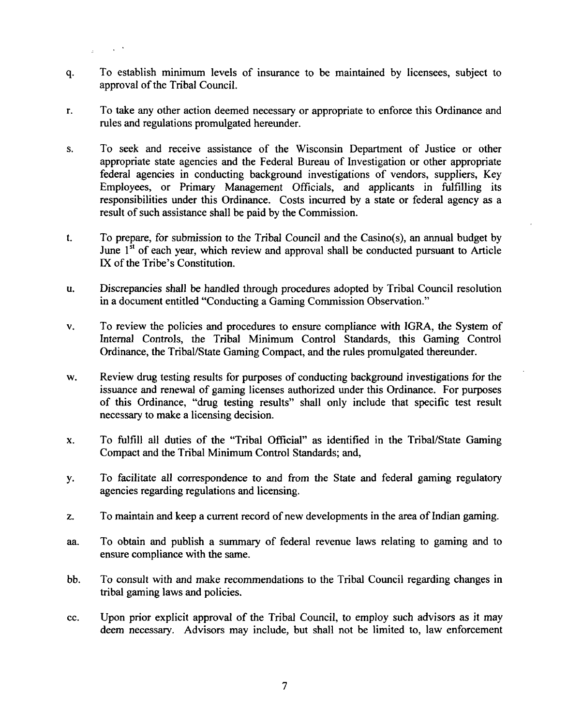To establish minimum levels of insurance to be maintained by licensees, subject to q. approval of the Tribal Council.

 $\chi$   $\rightarrow$ 

- To take any other action deemed necessary or appropriate to enforce this Ordinance and r. rules and regulations promulgated hereunder.
- To seek and receive assistance of the Wisconsin Department of Justice or other S. appropriate state agencies and the Federal Bureau of Investigation or other appropriate federal agencies in conducting background investigations of vendors, suppliers, Key Employees, or Primary Management Officials, and applicants in fulfilling its responsibilities under this Ordinance. Costs incurred by a state or federal agency as a result of such assistance shall be paid by the Commission.
- To prepare, for submission to the Tribal Council and the Casino(s), an annual budget by  $t_{\cdot}$ June  $1<sup>st</sup>$  of each year, which review and approval shall be conducted pursuant to Article **IX** of the Tribe's Constitution.
- Discrepancies shall be handled through procedures adopted by Tribal Council resolution u. in a document entitled "Conducting a Gaming Commission Observation."
- To review the policies and procedures to ensure compliance with IGRA, the System of  $\mathbf{v}$ . Internal Controls, the Tribal Minimum Control Standards, this Gaming Control Ordinance, the TribaVState Gaming Compact, and the rules promulgated thereunder.
- Review drug testing results for purposes of conducting background investigations for the w. issuance and renewal of gaming licenses authorized under this Ordinance. For purposes of this Ordinance, "drug testing results" shall only include that specific test result necessary to make a licensing decision.
- To fulfill all duties of the "Tribal Official" as identified in the TribaYState Gaming  $\mathbf{x}$ . Compact and the Tribal Minimum Control Standards; and,
- To facilitate all correspondence to and fiom the State and federal gaming regulatory y. agencies regarding regulations and licensing.
- **2.**  To maintain and keep a current record of new developments in the area of Indian gaming.
- **aa.**  To obtain and publish a summary of federal revenue laws relating to gaming and to ensure compliance with the same.
- bb. To consult with and make recommendations to the Tribal Council regarding changes in tribal gaming laws and policies.
- cc. Upon prior explicit approval of the Tribal Council, to employ such advisors as it may deem necessary. Advisors may include, but shall not be limited to, law enforcement